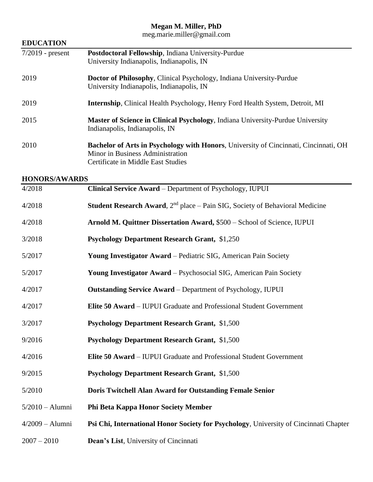### **Megan M. Miller, PhD**

meg.marie.miller@gmail.com

| <b>EDUCATION</b>     |                                                                                                                                                                       |  |  |  |
|----------------------|-----------------------------------------------------------------------------------------------------------------------------------------------------------------------|--|--|--|
| $7/2019$ - present   | Postdoctoral Fellowship, Indiana University-Purdue<br>University Indianapolis, Indianapolis, IN                                                                       |  |  |  |
| 2019                 | Doctor of Philosophy, Clinical Psychology, Indiana University-Purdue<br>University Indianapolis, Indianapolis, IN                                                     |  |  |  |
| 2019                 | <b>Internship, Clinical Health Psychology, Henry Ford Health System, Detroit, MI</b>                                                                                  |  |  |  |
| 2015                 | <b>Master of Science in Clinical Psychology, Indiana University-Purdue University</b><br>Indianapolis, Indianapolis, IN                                               |  |  |  |
| 2010                 | <b>Bachelor of Arts in Psychology with Honors, University of Cincinnati, Cincinnati, OH</b><br>Minor in Business Administration<br>Certificate in Middle East Studies |  |  |  |
| <b>HONORS/AWARDS</b> |                                                                                                                                                                       |  |  |  |
| 4/2018               | Clinical Service Award - Department of Psychology, IUPUI                                                                                                              |  |  |  |
| 4/2018               | <b>Student Research Award</b> , $2nd$ place – Pain SIG, Society of Behavioral Medicine                                                                                |  |  |  |
| 4/2018               | Arnold M. Quittner Dissertation Award, \$500 - School of Science, IUPUI                                                                                               |  |  |  |

3/2018 **Psychology Department Research Grant,** \$1,250

**EDUCATION**

- 5/2017 **Young Investigator Award** Pediatric SIG, American Pain Society
- 5/2017 **Young Investigator Award** Psychosocial SIG, American Pain Society
- 4/2017 **Outstanding Service Award** Department of Psychology, IUPUI
- 4/2017 **Elite 50 Award** IUPUI Graduate and Professional Student Government
- 3/2017 **Psychology Department Research Grant,** \$1,500
- 9/2016 **Psychology Department Research Grant,** \$1,500
- 4/2016 **Elite 50 Award** IUPUI Graduate and Professional Student Government
- 9/2015 **Psychology Department Research Grant,** \$1,500
- 5/2010 **Doris Twitchell Alan Award for Outstanding Female Senior**
- 5/2010 Alumni **Phi Beta Kappa Honor Society Member**
- 4/2009 Alumni **Psi Chi, International Honor Society for Psychology**, University of Cincinnati Chapter
- 2007 2010 **Dean's List**, University of Cincinnati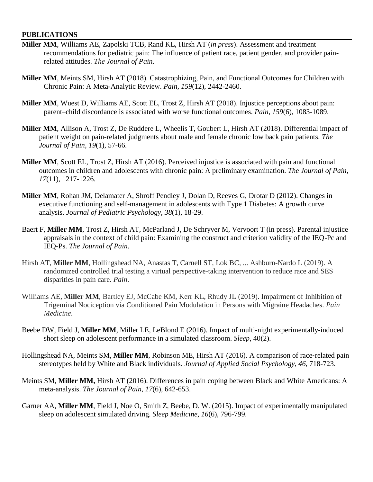#### **PUBLICATIONS**

- **Miller MM**, Williams AE, Zapolski TCB, Rand KL, Hirsh AT (*in press*). Assessment and treatment recommendations for pediatric pain: The influence of patient race, patient gender, and provider painrelated attitudes. *The Journal of Pain.*
- **Miller MM**, Meints SM, Hirsh AT (2018). Catastrophizing, Pain, and Functional Outcomes for Children with Chronic Pain: A Meta-Analytic Review. *Pain, 159*(12), 2442-2460.
- **Miller MM**, Wuest D, Williams AE, Scott EL, Trost Z, Hirsh AT (2018). Injustice perceptions about pain: parent–child discordance is associated with worse functional outcomes. *Pain*, *159*(6), 1083-1089.
- **Miller MM**, Allison A, Trost Z, De Ruddere L, Wheelis T, Goubert L, Hirsh AT (2018). Differential impact of patient weight on pain-related judgments about male and female chronic low back pain patients. *The Journal of Pain, 19*(1), 57-66.
- **Miller MM**, Scott EL, Trost Z, Hirsh AT (2016). Perceived injustice is associated with pain and functional outcomes in children and adolescents with chronic pain: A preliminary examination. *The Journal of Pain*, *17*(11), 1217-1226.
- **Miller MM**, Rohan JM, Delamater A, Shroff Pendley J, Dolan D, Reeves G, Drotar D (2012). Changes in executive functioning and self-management in adolescents with Type 1 Diabetes: A growth curve analysis. *Journal of Pediatric Psychology, 38*(1), 18-29.
- Baert F, **Miller MM**, Trost Z, Hirsh AT, McParland J, De Schryver M, Vervoort T (in press). Parental injustice appraisals in the context of child pain: Examining the construct and criterion validity of the IEQ-Pc and IEQ-Ps. *The Journal of Pain.*
- Hirsh AT, **Miller MM**, Hollingshead NA, Anastas T, Carnell ST, Lok BC, ... Ashburn-Nardo L (2019). A randomized controlled trial testing a virtual perspective-taking intervention to reduce race and SES disparities in pain care. *Pain*.
- Williams AE, **Miller MM**, Bartley EJ, McCabe KM, Kerr KL, Rhudy JL (2019). Impairment of Inhibition of Trigeminal Nociception via Conditioned Pain Modulation in Persons with Migraine Headaches. *Pain Medicine*.
- Beebe DW, Field J, **Miller MM**, Miller LE, LeBlond E (2016). Impact of multi-night experimentally-induced short sleep on adolescent performance in a simulated classroom. *Sleep*, 40(2).
- Hollingshead NA, Meints SM, Miller MM, Robinson ME, Hirsh AT (2016). A comparison of race-related pain stereotypes held by White and Black individuals. *Journal of Applied Social Psychology*, *46*, 718-723.
- Meints SM, **Miller MM,** Hirsh AT (2016). Differences in pain coping between Black and White Americans: A meta-analysis. *The Journal of Pain*, *17*(6), 642-653.
- Garner AA, **Miller MM**, Field J, Noe O, Smith Z, Beebe, D. W. (2015). Impact of experimentally manipulated sleep on adolescent simulated driving. *Sleep Medicine*, *16*(6), 796-799.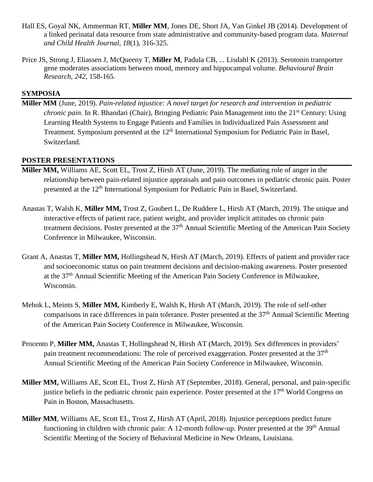- Hall ES, Goyal NK, Ammerman RT, **Miller MM**, Jones DE, Short JA, Van Ginkel JB (2014). Development of a linked perinatal data resource from state administrative and community-based program data. *Maternal and Child Health Journal, 18*(1), 316-325.
- Price JS, Strong J, Eliassen J, McQueeny T, **Miller M**, Padula CB, ... Lisdahl K (2013). Serotonin transporter gene moderates associations between mood, memory and hippocampal volume. *Behavioural Brain Research*, *242*, 158-165.

### **SYMPOSIA**

**Miller MM** (June, 2019). *Pain-related injustice: A novel target for research and intervention in pediatric chronic pain.* In R. Bhandari (Chair), Bringing Pediatric Pain Management into the 21<sup>st</sup> Century: Using Learning Health Systems to Engage Patients and Families in Individualized Pain Assessment and Treatment. Symposium presented at the 12<sup>th</sup> International Symposium for Pediatric Pain in Basel, Switzerland.

### **POSTER PRESENTATIONS**

- **Miller MM,** Williams AE, Scott EL, Trost Z, Hirsh AT (June, 2019). The mediating role of anger in the relationship between pain-related injustice appraisals and pain outcomes in pediatric chronic pain. Poster presented at the 12<sup>th</sup> International Symposium for Pediatric Pain in Basel, Switzerland.
- Anastas T, Walsh K, **Miller MM,** Trost Z, Goubert L, De Ruddere L, Hirsh AT (March, 2019). The unique and interactive effects of patient race, patient weight, and provider implicit attitudes on chronic pain treatment decisions. Poster presented at the 37<sup>th</sup> Annual Scientific Meeting of the American Pain Society Conference in Milwaukee, Wisconsin.
- Grant A, Anastas T, **Miller MM,** Hollingshead N, Hirsh AT (March, 2019). Effects of patient and provider race and socioeconomic status on pain treatment decisions and decision-making awareness. Poster presented at the 37th Annual Scientific Meeting of the American Pain Society Conference in Milwaukee, Wisconsin.
- Mehok L, Meints S, **Miller MM,** Kimberly E, Walsh K, Hirsh AT (March, 2019). The role of self-other comparisons in race differences in pain tolerance. Poster presented at the  $37<sup>th</sup>$  Annual Scientific Meeting of the American Pain Society Conference in Milwaukee, Wisconsin.
- Procento P, **Miller MM,** Anastas T, Hollingshead N, Hirsh AT (March, 2019). Sex differences in providers' pain treatment recommendations: The role of perceived exaggeration. Poster presented at the  $37<sup>th</sup>$ Annual Scientific Meeting of the American Pain Society Conference in Milwaukee, Wisconsin.
- **Miller MM,** Williams AE, Scott EL, Trost Z, Hirsh AT (September, 2018). General, personal, and pain-specific justice beliefs in the pediatric chronic pain experience. Poster presented at the 17<sup>th</sup> World Congress on Pain in Boston, Massachusetts.
- **Miller MM**, Williams AE, Scott EL, Trost Z, Hirsh AT (April, 2018). Injustice perceptions predict future functioning in children with chronic pain: A 12-month follow-up. Poster presented at the 39<sup>th</sup> Annual Scientific Meeting of the Society of Behavioral Medicine in New Orleans, Louisiana.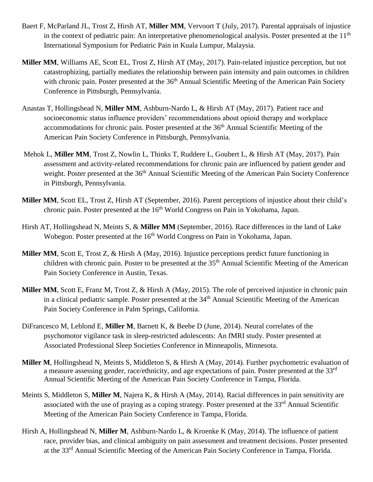- Baert F, McParland JL, Trost Z, Hirsh AT, **Miller MM**, Vervoort T (July, 2017). Parental appraisals of injustice in the context of pediatric pain: An interpretative phenomenological analysis. Poster presented at the 11<sup>th</sup> International Symposium for Pediatric Pain in Kuala Lumpur, Malaysia.
- **Miller MM**, Williams AE, Scott EL, Trost Z, Hirsh AT (May, 2017). Pain-related injustice perception, but not catastrophizing, partially mediates the relationship between pain intensity and pain outcomes in children with chronic pain. Poster presented at the 36<sup>th</sup> Annual Scientific Meeting of the American Pain Society Conference in Pittsburgh, Pennsylvania.
- Anastas T, Hollingshead N, **Miller MM**, Ashburn-Nardo L, & Hirsh AT (May, 2017). Patient race and socioeconomic status influence providers' recommendations about opioid therapy and workplace accommodations for chronic pain. Poster presented at the 36<sup>th</sup> Annual Scientific Meeting of the American Pain Society Conference in Pittsburgh, Pennsylvania.
- Mehok L, **Miller MM**, Trost Z, Nowlin L, Thinks T, Ruddere L, Goubert L, & Hirsh AT (May, 2017). Pain assessment and activity-related recommendations for chronic pain are influenced by patient gender and weight. Poster presented at the 36<sup>th</sup> Annual Scientific Meeting of the American Pain Society Conference in Pittsburgh, Pennsylvania.
- **Miller MM**, Scott EL, Trost Z, Hirsh AT (September, 2016). Parent perceptions of injustice about their child's chronic pain. Poster presented at the 16<sup>th</sup> World Congress on Pain in Yokohama, Japan.
- Hirsh AT, Hollingshead N, Meints S, & **Miller MM** (September, 2016). Race differences in the land of Lake Wobegon. Poster presented at the 16<sup>th</sup> World Congress on Pain in Yokohama, Japan.
- **Miller MM**, Scott E, Trost Z, & Hirsh A (May, 2016). Injustice perceptions predict future functioning in children with chronic pain. Poster to be presented at the 35<sup>th</sup> Annual Scientific Meeting of the American Pain Society Conference in Austin, Texas.
- **Miller MM**, Scott E, Franz M, Trost Z, & Hirsh A (May, 2015). The role of perceived injustice in chronic pain in a clinical pediatric sample. Poster presented at the 34<sup>th</sup> Annual Scientific Meeting of the American Pain Society Conference in Palm Springs, California.
- DiFrancesco M, Leblond E, **Miller M**, Barnett K, & Beebe D (June, 2014). Neural correlates of the psychomotor vigilance task in sleep-restricted adolescents: An fMRI study. Poster presented at Associated Professional Sleep Societies Conference in Minneapolis, Minnesota.
- **Miller M**, Hollingshead N, Meints S, Middleton S, & Hirsh A (May, 2014). Further psychometric evaluation of a measure assessing gender, race/ethnicity, and age expectations of pain. Poster presented at the 33rd Annual Scientific Meeting of the American Pain Society Conference in Tampa, Florida.
- Meints S, Middleton S, **Miller M**, Najera K, & Hirsh A (May, 2014). Racial differences in pain sensitivity are associated with the use of praying as a coping strategy. Poster presented at the 33<sup>rd</sup> Annual Scientific Meeting of the American Pain Society Conference in Tampa, Florida.
- Hirsh A, Hollingshead N, **Miller M**, Ashburn-Nardo L, & Kroenke K (May, 2014). The influence of patient race, provider bias, and clinical ambiguity on pain assessment and treatment decisions. Poster presented at the 33rd Annual Scientific Meeting of the American Pain Society Conference in Tampa, Florida.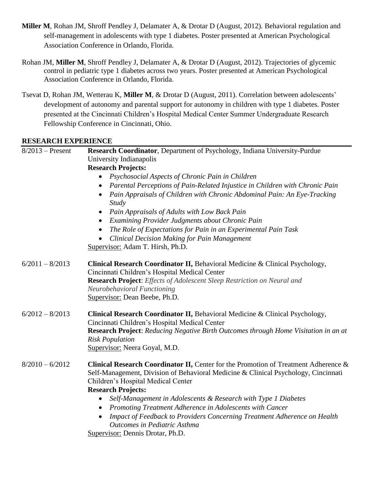- **Miller M**, Rohan JM, Shroff Pendley J, Delamater A, & Drotar D (August, 2012). Behavioral regulation and self-management in adolescents with type 1 diabetes. Poster presented at American Psychological Association Conference in Orlando, Florida.
- Rohan JM, **Miller M**, Shroff Pendley J, Delamater A, & Drotar D (August, 2012). Trajectories of glycemic control in pediatric type 1 diabetes across two years. Poster presented at American Psychological Association Conference in Orlando, Florida.
- Tsevat D, Rohan JM, Wetterau K, **Miller M**, & Drotar D (August, 2011). Correlation between adolescents' development of autonomy and parental support for autonomy in children with type 1 diabetes. Poster presented at the Cincinnati Children's Hospital Medical Center Summer Undergraduate Research Fellowship Conference in Cincinnati, Ohio.

## **RESEARCH EXPERIENCE**

| $8/2013$ – Present | Research Coordinator, Department of Psychology, Indiana University-Purdue<br>University Indianapolis          |  |  |
|--------------------|---------------------------------------------------------------------------------------------------------------|--|--|
|                    |                                                                                                               |  |  |
|                    | <b>Research Projects:</b>                                                                                     |  |  |
|                    | Psychosocial Aspects of Chronic Pain in Children<br>$\bullet$                                                 |  |  |
|                    | Parental Perceptions of Pain-Related Injustice in Children with Chronic Pain<br>$\bullet$                     |  |  |
|                    | Pain Appraisals of Children with Chronic Abdominal Pain: An Eye-Tracking<br>$\bullet$<br><b>Study</b>         |  |  |
|                    | Pain Appraisals of Adults with Low Back Pain                                                                  |  |  |
|                    | Examining Provider Judgments about Chronic Pain<br>$\bullet$                                                  |  |  |
|                    | The Role of Expectations for Pain in an Experimental Pain Task<br>$\bullet$                                   |  |  |
|                    | <b>Clinical Decision Making for Pain Management</b>                                                           |  |  |
|                    | Supervisor: Adam T. Hirsh, Ph.D.                                                                              |  |  |
| $6/2011 - 8/2013$  | Clinical Research Coordinator II, Behavioral Medicine & Clinical Psychology,                                  |  |  |
|                    | Cincinnati Children's Hospital Medical Center                                                                 |  |  |
|                    | Research Project: Effects of Adolescent Sleep Restriction on Neural and<br><b>Neurobehavioral Functioning</b> |  |  |
|                    | Supervisor: Dean Beebe, Ph.D.                                                                                 |  |  |
|                    |                                                                                                               |  |  |
| $6/2012 - 8/2013$  | Clinical Research Coordinator II, Behavioral Medicine & Clinical Psychology,                                  |  |  |
|                    | Cincinnati Children's Hospital Medical Center                                                                 |  |  |
|                    | Research Project: Reducing Negative Birth Outcomes through Home Visitation in an at                           |  |  |
|                    | <b>Risk Population</b><br>Supervisor: Neera Goyal, M.D.                                                       |  |  |
|                    |                                                                                                               |  |  |
| $8/2010 - 6/2012$  | Clinical Research Coordinator II, Center for the Promotion of Treatment Adherence &                           |  |  |
|                    | Self-Management, Division of Behavioral Medicine & Clinical Psychology, Cincinnati                            |  |  |
|                    | Children's Hospital Medical Center                                                                            |  |  |
|                    | <b>Research Projects:</b>                                                                                     |  |  |
|                    | Self-Management in Adolescents & Research with Type 1 Diabetes<br>$\bullet$                                   |  |  |
|                    | Promoting Treatment Adherence in Adolescents with Cancer<br>$\bullet$                                         |  |  |
|                    | Impact of Feedback to Providers Concerning Treatment Adherence on Health<br>$\bullet$                         |  |  |
|                    | <b>Outcomes in Pediatric Asthma</b>                                                                           |  |  |
|                    | Supervisor: Dennis Drotar, Ph.D.                                                                              |  |  |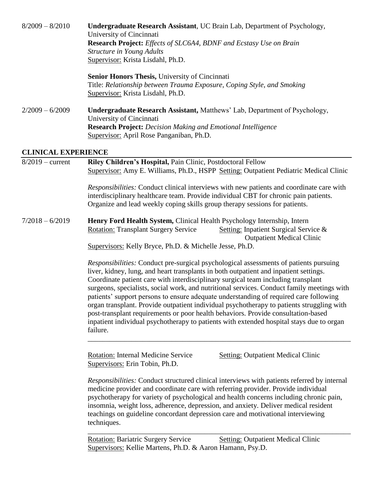| $8/2009 - 8/2010$          | <b>Undergraduate Research Assistant, UC Brain Lab, Department of Psychology,</b>  |  |  |
|----------------------------|-----------------------------------------------------------------------------------|--|--|
|                            | University of Cincinnati                                                          |  |  |
|                            | <b>Research Project:</b> Effects of SLC6A4, BDNF and Ecstasy Use on Brain         |  |  |
|                            | <b>Structure in Young Adults</b>                                                  |  |  |
|                            | Supervisor: Krista Lisdahl, Ph.D.                                                 |  |  |
|                            | <b>Senior Honors Thesis, University of Cincinnati</b>                             |  |  |
|                            | Title: Relationship between Trauma Exposure, Coping Style, and Smoking            |  |  |
|                            | Supervisor: Krista Lisdahl, Ph.D.                                                 |  |  |
| $2/2009 - 6/2009$          | <b>Undergraduate Research Assistant, Matthews' Lab, Department of Psychology,</b> |  |  |
|                            | University of Cincinnati                                                          |  |  |
|                            | <b>Research Project:</b> Decision Making and Emotional Intelligence               |  |  |
|                            | Supervisor: April Rose Panganiban, Ph.D.                                          |  |  |
|                            |                                                                                   |  |  |
| <b>CLINICAL EXPERIENCE</b> |                                                                                   |  |  |

8/2019 – current **Riley Children's Hospital,** Pain Clinic, Postdoctoral Fellow Supervisor: Amy E. Williams, Ph.D., HSPP Setting: Outpatient Pediatric Medical Clinic *Responsibilities:* Conduct clinical interviews with new patients and coordinate care with interdisciplinary healthcare team. Provide individual CBT for chronic pain patients. Organize and lead weekly coping skills group therapy sessions for patients. 7/2018 – 6/2019 **Henry Ford Health System,** Clinical Health Psychology Internship, Intern Rotation: Transplant Surgery Service Setting: Inpatient Surgical Service & Outpatient Medical Clinic Supervisors: Kelly Bryce, Ph.D. & Michelle Jesse, Ph.D. *Responsibilities:* Conduct pre-surgical psychological assessments of patients pursuing liver, kidney, lung, and heart transplants in both outpatient and inpatient settings. Coordinate patient care with interdisciplinary surgical team including transplant surgeons, specialists, social work, and nutritional services. Conduct family meetings with patients' support persons to ensure adequate understanding of required care following

organ transplant. Provide outpatient individual psychotherapy to patients struggling with post-transplant requirements or poor health behaviors. Provide consultation-based inpatient individual psychotherapy to patients with extended hospital stays due to organ failure.

\_\_\_\_\_\_\_\_\_\_\_\_\_\_\_\_\_\_\_\_\_\_\_\_\_\_\_\_\_\_\_\_\_\_\_\_\_\_\_\_\_\_\_\_\_\_\_\_\_\_\_\_\_\_\_\_\_\_\_\_\_\_\_\_\_\_\_\_\_\_\_\_

Rotation: Internal Medicine Service Setting: Outpatient Medical Clinic Supervisors: Erin Tobin, Ph.D.

*Responsibilities:* Conduct structured clinical interviews with patients referred by internal medicine provider and coordinate care with referring provider. Provide individual psychotherapy for variety of psychological and health concerns including chronic pain, insomnia, weight loss, adherence, depression, and anxiety. Deliver medical resident teachings on guideline concordant depression care and motivational interviewing techniques.

\_\_\_\_\_\_\_\_\_\_\_\_\_\_\_\_\_\_\_\_\_\_\_\_\_\_\_\_\_\_\_\_\_\_\_\_\_\_\_\_\_\_\_\_\_\_\_\_\_\_\_\_\_\_\_\_\_\_\_\_\_\_\_\_\_\_\_\_\_\_\_\_

Rotation: Bariatric Surgery Service Setting: Outpatient Medical Clinic Supervisors: Kellie Martens, Ph.D. & Aaron Hamann, Psy.D.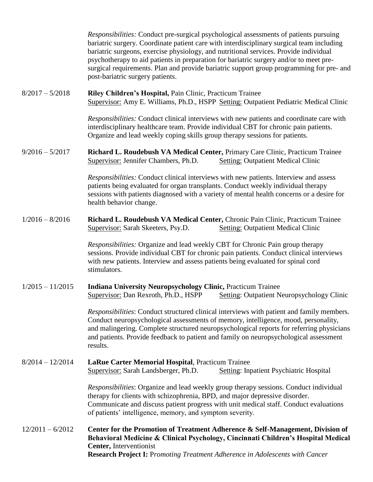*Responsibilities:* Conduct pre-surgical psychological assessments of patients pursuing bariatric surgery. Coordinate patient care with interdisciplinary surgical team including bariatric surgeons, exercise physiology, and nutritional services. Provide individual psychotherapy to aid patients in preparation for bariatric surgery and/or to meet presurgical requirements. Plan and provide bariatric support group programming for pre- and post-bariatric surgery patients.

8/2017 – 5/2018 **Riley Children's Hospital,** Pain Clinic, Practicum Trainee Supervisor: Amy E. Williams, Ph.D., HSPP Setting: Outpatient Pediatric Medical Clinic

> *Responsibilities:* Conduct clinical interviews with new patients and coordinate care with interdisciplinary healthcare team. Provide individual CBT for chronic pain patients. Organize and lead weekly coping skills group therapy sessions for patients.

9/2016 – 5/2017 **Richard L. Roudebush VA Medical Center,** Primary Care Clinic, Practicum Trainee Supervisor: Jennifer Chambers, Ph.D. Setting: Outpatient Medical Clinic

> *Responsibilities:* Conduct clinical interviews with new patients. Interview and assess patients being evaluated for organ transplants. Conduct weekly individual therapy sessions with patients diagnosed with a variety of mental health concerns or a desire for health behavior change.

1/2016 – 8/2016 **Richard L. Roudebush VA Medical Center,** Chronic Pain Clinic, Practicum Trainee Supervisor: Sarah Skeeters, Psy.D. Setting: Outpatient Medical Clinic

> *Responsibilities:* Organize and lead weekly CBT for Chronic Pain group therapy sessions. Provide individual CBT for chronic pain patients. Conduct clinical interviews with new patients. Interview and assess patients being evaluated for spinal cord stimulators.

1/2015 – 11/2015 **Indiana University Neuropsychology Clinic,** Practicum Trainee Supervisor: Dan Rexroth, Ph.D., HSPP Setting: Outpatient Neuropsychology Clinic

> *Responsibilities*: Conduct structured clinical interviews with patient and family members. Conduct neuropsychological assessments of memory, intelligence, mood, personality, and malingering. Complete structured neuropsychological reports for referring physicians and patients. Provide feedback to patient and family on neuropsychological assessment results.

8/2014 – 12/2014 **LaRue Carter Memorial Hospital**, Practicum Trainee Supervisor: Sarah Landsberger, Ph.D. Setting: Inpatient Psychiatric Hospital

*Responsibilities*: Organize and lead weekly group therapy sessions. Conduct individual therapy for clients with schizophrenia, BPD, and major depressive disorder. Communicate and discuss patient progress with unit medical staff. Conduct evaluations of patients' intelligence, memory, and symptom severity.

12/2011 – 6/2012 **Center for the Promotion of Treatment Adherence & Self-Management, Division of Behavioral Medicine & Clinical Psychology, Cincinnati Children's Hospital Medical Center,** Interventionist **Research Project I:** P*romoting Treatment Adherence in Adolescents with Cancer*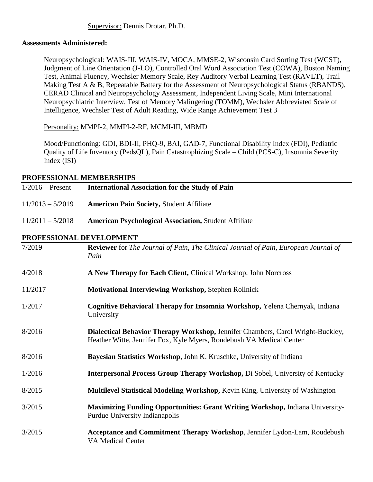### **Assessments Administered:**

Neuropsychological: WAIS-III, WAIS-IV, MOCA, MMSE-2, Wisconsin Card Sorting Test (WCST), Judgment of Line Orientation (J-LO), Controlled Oral Word Association Test (COWA), Boston Naming Test, Animal Fluency, Wechsler Memory Scale, Rey Auditory Verbal Learning Test (RAVLT), Trail Making Test A & B, Repeatable Battery for the Assessment of Neuropsychological Status (RBANDS), CERAD Clinical and Neuropsychology Assessment, Independent Living Scale, Mini International Neuropsychiatric Interview, Test of Memory Malingering (TOMM), Wechsler Abbreviated Scale of Intelligence, Wechsler Test of Adult Reading, Wide Range Achievement Test 3

Personality: MMPI-2, MMPI-2-RF, MCMI-III, MBMD

Mood/Functioning: GDI, BDI-II, PHQ-9, BAI, GAD-7, Functional Disability Index (FDI), Pediatric Quality of Life Inventory (PedsQL), Pain Catastrophizing Scale – Child (PCS-C), Insomnia Severity Index (ISI)

# **PROFESSIONAL MEMBERSHIPS**

| PRUFESSIUNAL MEMBERSHIPS |                                                                                                                                                         |  |  |  |
|--------------------------|---------------------------------------------------------------------------------------------------------------------------------------------------------|--|--|--|
| $1/2016$ – Present       | <b>International Association for the Study of Pain</b>                                                                                                  |  |  |  |
| $11/2013 - 5/2019$       | <b>American Pain Society, Student Affiliate</b>                                                                                                         |  |  |  |
| $11/2011 - 5/2018$       | <b>American Psychological Association, Student Affiliate</b>                                                                                            |  |  |  |
| PROFESSIONAL DEVELOPMENT |                                                                                                                                                         |  |  |  |
| 7/2019                   | <b>Reviewer</b> for The Journal of Pain, The Clinical Journal of Pain, European Journal of<br>Pain                                                      |  |  |  |
| 4/2018                   | A New Therapy for Each Client, Clinical Workshop, John Norcross                                                                                         |  |  |  |
| 11/2017                  | <b>Motivational Interviewing Workshop, Stephen Rollnick</b>                                                                                             |  |  |  |
| 1/2017                   | Cognitive Behavioral Therapy for Insomnia Workshop, Yelena Chernyak, Indiana<br>University                                                              |  |  |  |
| 8/2016                   | Dialectical Behavior Therapy Workshop, Jennifer Chambers, Carol Wright-Buckley,<br>Heather Witte, Jennifer Fox, Kyle Myers, Roudebush VA Medical Center |  |  |  |
| 8/2016                   | Bayesian Statistics Workshop, John K. Kruschke, University of Indiana                                                                                   |  |  |  |
| 1/2016                   | <b>Interpersonal Process Group Therapy Workshop, Di Sobel, University of Kentucky</b>                                                                   |  |  |  |
| 8/2015                   | Multilevel Statistical Modeling Workshop, Kevin King, University of Washington                                                                          |  |  |  |
| 3/2015                   | Maximizing Funding Opportunities: Grant Writing Workshop, Indiana University-<br>Purdue University Indianapolis                                         |  |  |  |
| 3/2015                   | Acceptance and Commitment Therapy Workshop, Jennifer Lydon-Lam, Roudebush<br><b>VA Medical Center</b>                                                   |  |  |  |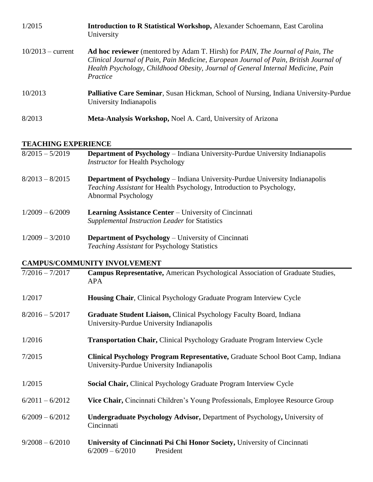| 1/2015              | <b>Introduction to R Statistical Workshop, Alexander Schoemann, East Carolina</b><br>University                                                                                                                                                                                                       |
|---------------------|-------------------------------------------------------------------------------------------------------------------------------------------------------------------------------------------------------------------------------------------------------------------------------------------------------|
| $10/2013$ – current | <b>Ad hoc reviewer</b> (mentored by Adam T. Hirsh) for <i>PAIN</i> , <i>The Journal of Pain</i> , <i>The</i><br>Clinical Journal of Pain, Pain Medicine, European Journal of Pain, British Journal of<br>Health Psychology, Childhood Obesity, Journal of General Internal Medicine, Pain<br>Practice |
| 10/2013             | <b>Palliative Care Seminar, Susan Hickman, School of Nursing, Indiana University-Purdue</b><br>University Indianapolis                                                                                                                                                                                |
| 8/2013              | Meta-Analysis Workshop, Noel A. Card, University of Arizona                                                                                                                                                                                                                                           |

### **TEACHING EXPERIENCE**

| $8/2015 - 5/2019$ | <b>Department of Psychology</b> – Indiana University-Purdue University Indianapolis<br><b>Instructor for Health Psychology</b>                                                      |  |  |  |
|-------------------|-------------------------------------------------------------------------------------------------------------------------------------------------------------------------------------|--|--|--|
| $8/2013 - 8/2015$ | <b>Department of Psychology</b> – Indiana University-Purdue University Indianapolis<br>Teaching Assistant for Health Psychology, Introduction to Psychology,<br>Abnormal Psychology |  |  |  |
| $1/2009 - 6/2009$ | <b>Learning Assistance Center – University of Cincinnati</b><br>Supplemental Instruction Leader for Statistics                                                                      |  |  |  |
| $1/2009 - 3/2010$ | <b>Department of Psychology</b> – University of Cincinnati<br><b>Teaching Assistant for Psychology Statistics</b>                                                                   |  |  |  |
|                   | <b>CAMPUS/COMMUNITY INVOLVEMENT</b>                                                                                                                                                 |  |  |  |
| $7/2016 - 7/2017$ | Campus Representative, American Psychological Association of Graduate Studies,<br><b>APA</b>                                                                                        |  |  |  |
| 1/2017            | Housing Chair, Clinical Psychology Graduate Program Interview Cycle                                                                                                                 |  |  |  |
| $8/2016 - 5/2017$ | Graduate Student Liaison, Clinical Psychology Faculty Board, Indiana<br>University-Purdue University Indianapolis                                                                   |  |  |  |
| 1/2016            | Transportation Chair, Clinical Psychology Graduate Program Interview Cycle                                                                                                          |  |  |  |
| 7/2015            | Clinical Psychology Program Representative, Graduate School Boot Camp, Indiana<br>University-Purdue University Indianapolis                                                         |  |  |  |
| 1/2015            | Social Chair, Clinical Psychology Graduate Program Interview Cycle                                                                                                                  |  |  |  |
| $6/2011 - 6/2012$ | Vice Chair, Cincinnati Children's Young Professionals, Employee Resource Group                                                                                                      |  |  |  |
| $6/2009 - 6/2012$ | Undergraduate Psychology Advisor, Department of Psychology, University of<br>Cincinnati                                                                                             |  |  |  |
| $9/2008 - 6/2010$ | University of Cincinnati Psi Chi Honor Society, University of Cincinnati<br>$6/2009 - 6/2010$<br>President                                                                          |  |  |  |
|                   |                                                                                                                                                                                     |  |  |  |